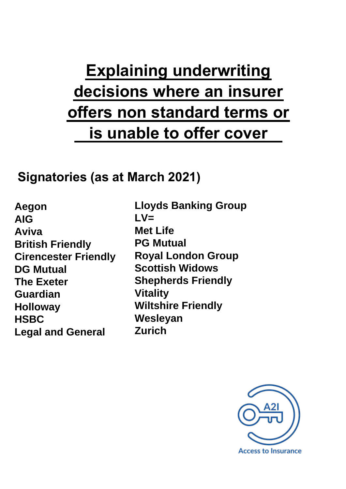# **Explaining underwriting decisions where an insurer offers non standard terms or is unable to offer cover**

# **Signatories (as at March 2021)**

**Aegon AIG Aviva British Friendly Cirencester Friendly DG Mutual The Exeter Guardian Holloway HSBC Legal and General** 

**Lloyds Banking Group**   $\mathsf{L} \mathsf{V} =$ **Met Life PG Mutual Royal London Group Scottish Widows Shepherds Friendly Vitality Wiltshire Friendly Wesleyan Zurich**

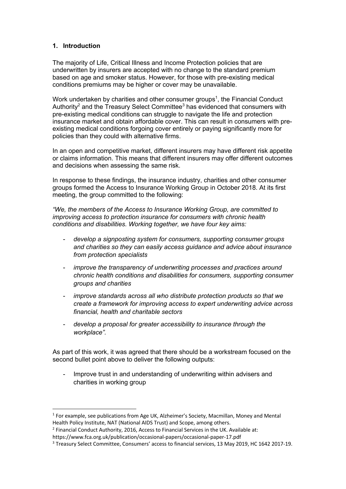#### **1. Introduction**

The majority of Life, Critical Illness and Income Protection policies that are underwritten by insurers are accepted with no change to the standard premium based on age and smoker status. However, for those with pre-existing medical conditions premiums may be higher or cover may be unavailable.

Work undertaken by charities and other consumer groups<sup>1</sup>, the Financial Conduct Authority<sup>2</sup> and the Treasury Select Committee<sup>3</sup> has evidenced that consumers with pre-existing medical conditions can struggle to navigate the life and protection insurance market and obtain affordable cover. This can result in consumers with preexisting medical conditions forgoing cover entirely or paying significantly more for policies than they could with alternative firms.

In an open and competitive market, different insurers may have different risk appetite or claims information. This means that different insurers may offer different outcomes and decisions when assessing the same risk.

In response to these findings, the insurance industry, charities and other consumer groups formed the Access to Insurance Working Group in October 2018. At its first meeting, the group committed to the following:

*"We, the members of the Access to Insurance Working Group, are committed to improving access to protection insurance for consumers with chronic health conditions and disabilities. Working together, we have four key aims:*

- *develop a signposting system for consumers, supporting consumer groups and charities so they can easily access guidance and advice about insurance from protection specialists*
- *improve the transparency of underwriting processes and practices around chronic health conditions and disabilities for consumers, supporting consumer groups and charities*
- *improve standards across all who distribute protection products so that we create a framework for improving access to expert underwriting advice across financial, health and charitable sectors*
- *develop a proposal for greater accessibility to insurance through the workplace".*

As part of this work, it was agreed that there should be a workstream focused on the second bullet point above to deliver the following outputs:

Improve trust in and understanding of underwriting within advisers and charities in working group

 $<sup>1</sup>$  For example, see publications from Age UK, Alzheimer's Society, Macmillan, Money and Mental</sup> Health Policy Institute, NAT (National AIDS Trust) and Scope, among others.

<sup>&</sup>lt;sup>2</sup> Financial Conduct Authority, 2016, Access to Financial Services in the UK. Available at: https://www.fca.org.uk/publication/occasional-papers/occasional-paper-17.pdf

<sup>3</sup> Treasury Select Committee, Consumers' access to financial services, 13 May 2019, HC 1642 2017-19.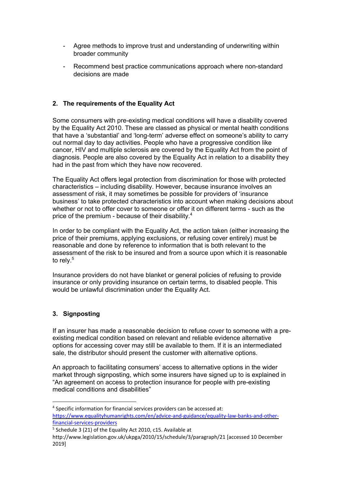- Agree methods to improve trust and understanding of underwriting within broader community
- Recommend best practice communications approach where non-standard decisions are made

### **2. The requirements of the Equality Act**

Some consumers with pre-existing medical conditions will have a disability covered by the Equality Act 2010. These are classed as physical or mental health conditions that have a 'substantial' and 'long-term' adverse effect on someone's ability to carry out normal day to day activities. People who have a progressive condition like cancer, HIV and multiple sclerosis are covered by the Equality Act from the point of diagnosis. People are also covered by the Equality Act in relation to a disability they had in the past from which they have now recovered.

The Equality Act offers legal protection from discrimination for those with protected characteristics – including disability. However, because insurance involves an assessment of risk, it may sometimes be possible for providers of 'insurance business' to take protected characteristics into account when making decisions about whether or not to offer cover to someone or offer it on different terms - such as the price of the premium - because of their disability.<sup>4</sup>

In order to be compliant with the Equality Act, the action taken (either increasing the price of their premiums, applying exclusions, or refusing cover entirely) must be reasonable and done by reference to information that is both relevant to the assessment of the risk to be insured and from a source upon which it is reasonable to rely. $5$ 

Insurance providers do not have blanket or general policies of refusing to provide insurance or only providing insurance on certain terms, to disabled people. This would be unlawful discrimination under the Equality Act.

# **3. Signposting**

If an insurer has made a reasonable decision to refuse cover to someone with a preexisting medical condition based on relevant and reliable evidence alternative options for accessing cover may still be available to them. If it is an intermediated sale, the distributor should present the customer with alternative options.

An approach to facilitating consumers' access to alternative options in the wider market through signposting, which some insurers have signed up to is explained in "An agreement on access to protection insurance for people with pre-existing medical conditions and disabilities"

<sup>4</sup> Specific information for financial services providers can be accessed at: https://www.equalityhumanrights.com/en/advice-and-guidance/equality-law-banks-and-otherfinancial-services-providers

<sup>&</sup>lt;sup>5</sup> Schedule 3 (21) of the Equality Act 2010, c15. Available at

http://www.legislation.gov.uk/ukpga/2010/15/schedule/3/paragraph/21 [accessed 10 December 2019]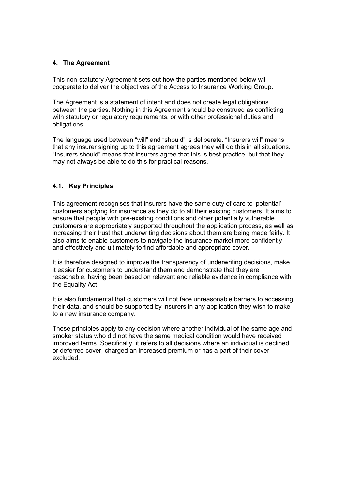#### **4. The Agreement**

This non-statutory Agreement sets out how the parties mentioned below will cooperate to deliver the objectives of the Access to Insurance Working Group.

The Agreement is a statement of intent and does not create legal obligations between the parties. Nothing in this Agreement should be construed as conflicting with statutory or regulatory requirements, or with other professional duties and obligations.

The language used between "will" and "should" is deliberate. "Insurers will" means that any insurer signing up to this agreement agrees they will do this in all situations. "Insurers should" means that insurers agree that this is best practice, but that they may not always be able to do this for practical reasons.

### **4.1. Key Principles**

This agreement recognises that insurers have the same duty of care to 'potential' customers applying for insurance as they do to all their existing customers. It aims to ensure that people with pre-existing conditions and other potentially vulnerable customers are appropriately supported throughout the application process, as well as increasing their trust that underwriting decisions about them are being made fairly. It also aims to enable customers to navigate the insurance market more confidently and effectively and ultimately to find affordable and appropriate cover.

It is therefore designed to improve the transparency of underwriting decisions, make it easier for customers to understand them and demonstrate that they are reasonable, having been based on relevant and reliable evidence in compliance with the Equality Act.

It is also fundamental that customers will not face unreasonable barriers to accessing their data, and should be supported by insurers in any application they wish to make to a new insurance company.

These principles apply to any decision where another individual of the same age and smoker status who did not have the same medical condition would have received improved terms. Specifically, it refers to all decisions where an individual is declined or deferred cover, charged an increased premium or has a part of their cover excluded.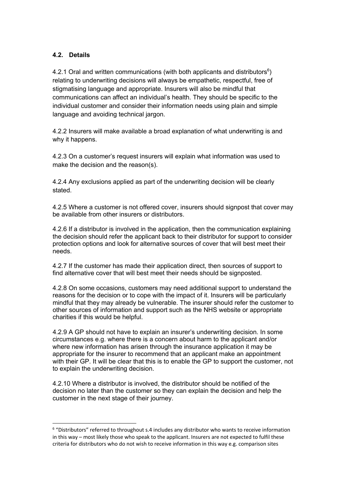# **4.2. Details**

4.2.1 Oral and written communications (with both applicants and distributors $6$ ) relating to underwriting decisions will always be empathetic, respectful, free of stigmatising language and appropriate. Insurers will also be mindful that communications can affect an individual's health. They should be specific to the individual customer and consider their information needs using plain and simple language and avoiding technical jargon.

4.2.2 Insurers will make available a broad explanation of what underwriting is and why it happens.

4.2.3 On a customer's request insurers will explain what information was used to make the decision and the reason(s).

4.2.4 Any exclusions applied as part of the underwriting decision will be clearly stated.

4.2.5 Where a customer is not offered cover, insurers should signpost that cover may be available from other insurers or distributors.

4.2.6 If a distributor is involved in the application, then the communication explaining the decision should refer the applicant back to their distributor for support to consider protection options and look for alternative sources of cover that will best meet their needs.

4.2.7 If the customer has made their application direct, then sources of support to find alternative cover that will best meet their needs should be signposted.

4.2.8 On some occasions, customers may need additional support to understand the reasons for the decision or to cope with the impact of it. Insurers will be particularly mindful that they may already be vulnerable. The insurer should refer the customer to other sources of information and support such as the NHS website or appropriate charities if this would be helpful.

4.2.9 A GP should not have to explain an insurer's underwriting decision. In some circumstances e.g. where there is a concern about harm to the applicant and/or where new information has arisen through the insurance application it may be appropriate for the insurer to recommend that an applicant make an appointment with their GP. It will be clear that this is to enable the GP to support the customer, not to explain the underwriting decision.

4.2.10 Where a distributor is involved, the distributor should be notified of the decision no later than the customer so they can explain the decision and help the customer in the next stage of their journey.

<sup>6</sup> "Distributors" referred to throughout s.4 includes any distributor who wants to receive information in this way – most likely those who speak to the applicant. Insurers are not expected to fulfil these criteria for distributors who do not wish to receive information in this way e.g. comparison sites